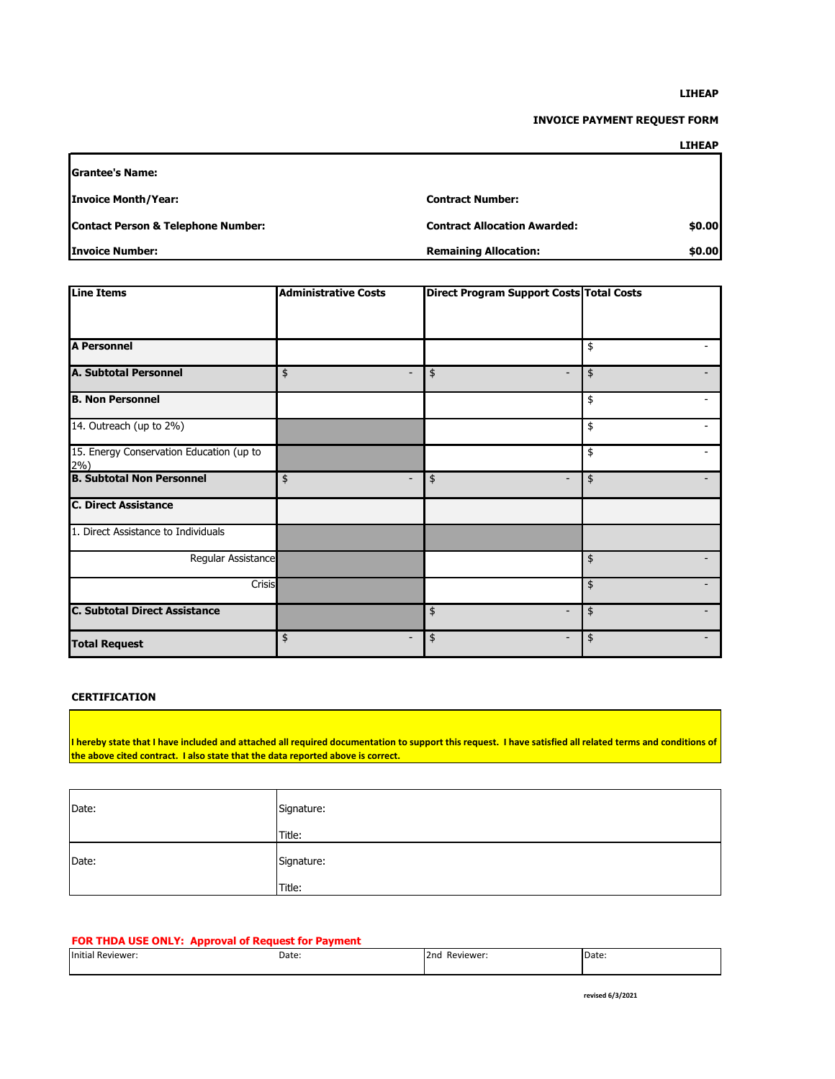#### **LIHEAP**

### **INVOICE PAYMENT REQUEST FORM**

### **LIHEAP**

| <b>IGrantee's Name:</b>                       |                                     |        |
|-----------------------------------------------|-------------------------------------|--------|
| <b>Invoice Month/Year:</b>                    | <b>Contract Number:</b>             |        |
| <b>Contact Person &amp; Telephone Number:</b> | <b>Contract Allocation Awarded:</b> | \$0.00 |
| Invoice Number:                               | <b>Remaining Allocation:</b>        | \$0.00 |

| <b>Line Items</b>                                   | <b>Administrative Costs</b>    | Direct Program Support Costs Total Costs |               |
|-----------------------------------------------------|--------------------------------|------------------------------------------|---------------|
|                                                     |                                |                                          |               |
|                                                     |                                |                                          |               |
| <b>A Personnel</b>                                  |                                |                                          | \$            |
| <b>A. Subtotal Personnel</b>                        | \$<br>$\overline{\phantom{a}}$ | \$<br>$\overline{\phantom{a}}$           | \$            |
| <b>B. Non Personnel</b>                             |                                |                                          | \$            |
| 14. Outreach (up to 2%)                             |                                |                                          | \$            |
| 15. Energy Conservation Education (up to<br>$2\%$ ) |                                |                                          | \$            |
| <b>B. Subtotal Non Personnel</b>                    | \$<br>$\overline{\phantom{a}}$ | \$<br>$\overline{\phantom{0}}$           | \$            |
| <b>C. Direct Assistance</b>                         |                                |                                          |               |
| 1. Direct Assistance to Individuals                 |                                |                                          |               |
| Regular Assistance                                  |                                |                                          | \$            |
| Crisis                                              |                                |                                          | $\pmb{\$}$    |
| <b>C. Subtotal Direct Assistance</b>                |                                | \$<br>$\overline{\phantom{0}}$           | $\frac{1}{2}$ |
| <b>Total Request</b>                                | \$<br>$\overline{\phantom{0}}$ | \$<br>$\overline{\phantom{0}}$           | \$            |

## **CERTIFICATION**

**I hereby state that I have included and attached all required documentation to support this request. I have satisfied all related terms and conditions of the above cited contract. I also state that the data reported above is correct.**

| Date: | Signature: |
|-------|------------|
|       | Title:     |
| Date: | Signature: |
|       | Title:     |

### **FOR THDA USE ONLY: Approval of Request for Payment**

| ___               |       |                  |       |
|-------------------|-------|------------------|-------|
| Initial Reviewer: | Date: | Reviewer:<br>2nd | Date: |
|                   |       |                  |       |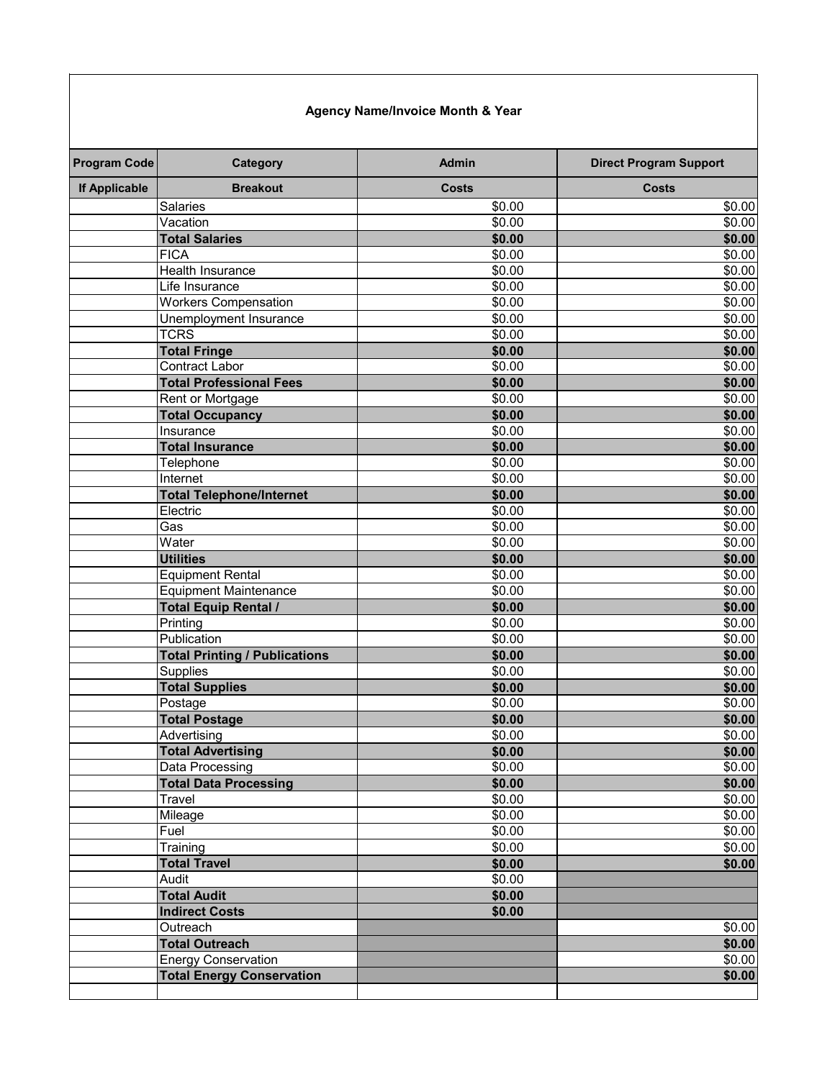# **Agency Name/Invoice Month & Year**

| <b>If Applicable</b><br><b>Salaries</b> | <b>Breakout</b>                      | <b>Costs</b> |                    |
|-----------------------------------------|--------------------------------------|--------------|--------------------|
|                                         |                                      |              | <b>Costs</b>       |
|                                         |                                      | \$0.00       | \$0.00             |
| Vacation                                |                                      | \$0.00       | \$0.00             |
| <b>Total Salaries</b>                   |                                      | \$0.00       | \$0.00             |
| <b>FICA</b>                             |                                      | \$0.00       | \$0.00             |
| <b>Health Insurance</b>                 |                                      | \$0.00       | $\frac{1}{2}0.00$  |
| Life Insurance                          |                                      | \$0.00       | \$0.00             |
|                                         | <b>Workers Compensation</b>          | \$0.00       | \$0.00             |
|                                         | Unemployment Insurance               | \$0.00       | \$0.00             |
| <b>TCRS</b>                             |                                      | \$0.00       | \$0.00             |
| <b>Total Fringe</b>                     |                                      | \$0.00       | \$0.00             |
| <b>Contract Labor</b>                   |                                      | \$0.00       | \$0.00             |
|                                         | <b>Total Professional Fees</b>       | \$0.00       | \$0.00             |
|                                         | Rent or Mortgage                     | \$0.00       | \$0.00             |
|                                         | <b>Total Occupancy</b>               | \$0.00       | \$0.00             |
| Insurance                               |                                      | \$0.00       | \$0.00             |
| <b>Total Insurance</b>                  |                                      | \$0.00       | \$0.00             |
| Telephone                               |                                      | \$0.00       | \$0.00             |
| Internet                                |                                      | \$0.00       | \$0.00             |
|                                         | <b>Total Telephone/Internet</b>      | \$0.00       | \$0.00             |
| Electric                                |                                      | \$0.00       | \$0.00             |
| Gas                                     |                                      | \$0.00       | \$0.00             |
| Water                                   |                                      | \$0.00       | \$0.00             |
| <b>Utilities</b>                        |                                      | \$0.00       | \$0.00             |
|                                         | <b>Equipment Rental</b>              | \$0.00       | \$0.00             |
|                                         | <b>Equipment Maintenance</b>         | \$0.00       | $\overline{$0.00}$ |
|                                         | <b>Total Equip Rental /</b>          | \$0.00       | \$0.00             |
| Printing                                |                                      | \$0.00       | \$0.00             |
| Publication                             |                                      | \$0.00       | \$0.00             |
|                                         | <b>Total Printing / Publications</b> | \$0.00       | \$0.00             |
| <b>Supplies</b>                         |                                      | \$0.00       | $\overline{$0.00}$ |
| <b>Total Supplies</b>                   |                                      | \$0.00       | \$0.00             |
| Postage                                 |                                      | \$0.00       | \$0.00             |
| <b>Total Postage</b>                    |                                      | \$0.00       | \$0.00             |
| Advertising                             |                                      | \$0.00       | \$0.00             |
|                                         | <b>Total Advertising</b>             | \$0.00       | \$0.00             |
| Data Processing                         |                                      | \$0.00       | \$0.00             |
|                                         | <b>Total Data Processing</b>         | \$0.00       | \$0.00             |
| Travel                                  |                                      | \$0.00       | \$0.00             |
| Mileage                                 |                                      | \$0.00       | \$0.00             |
| Fuel                                    |                                      | \$0.00       | \$0.00             |
| Training                                |                                      | \$0.00       | \$0.00             |
| <b>Total Travel</b>                     |                                      | \$0.00       | \$0.00             |
| Audit                                   |                                      | \$0.00       |                    |
| <b>Total Audit</b>                      |                                      | \$0.00       |                    |
| <b>Indirect Costs</b>                   |                                      | \$0.00       |                    |
| Outreach                                |                                      |              | \$0.00             |
| <b>Total Outreach</b>                   |                                      |              | \$0.00             |
|                                         | <b>Energy Conservation</b>           |              | \$0.00             |
|                                         | <b>Total Energy Conservation</b>     |              | \$0.00             |